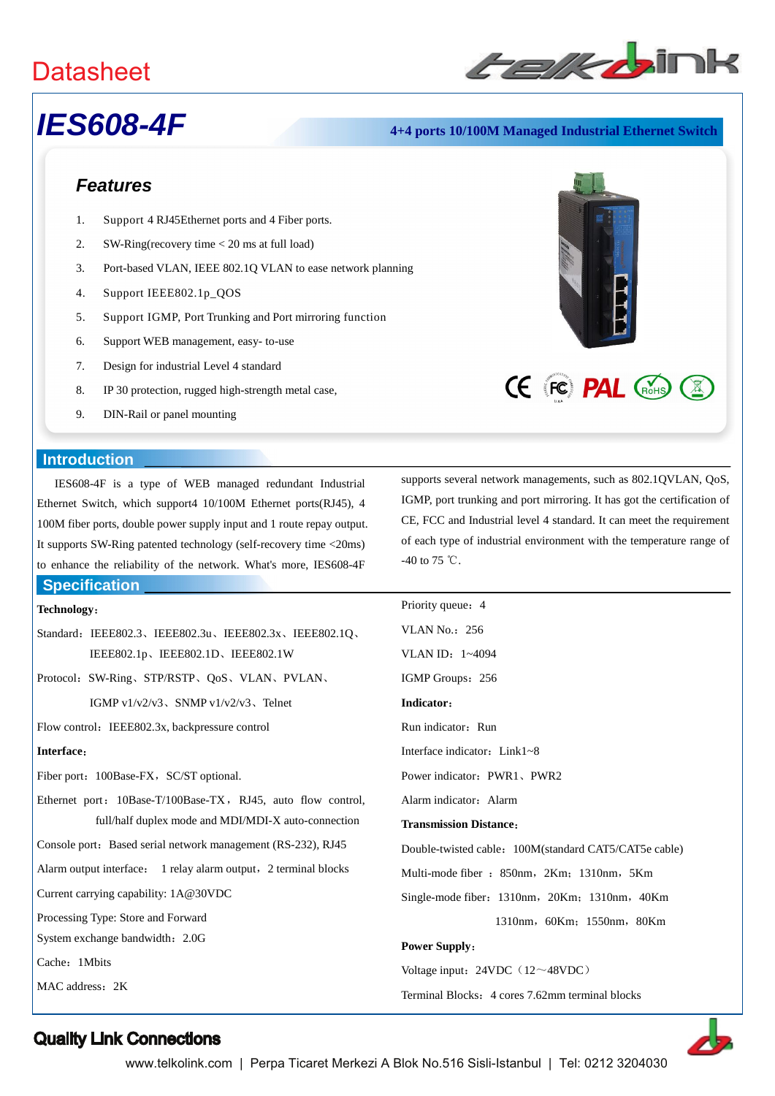

# *IES608-4F* **4+4 ports 10/100M Managed Industrial Ethernet Switch**

# *Features*

- 1. Support 4 RJ45Ethernet ports and 4 Fiber ports.
- 2. SW-Ring(recovery time < 20 ms at full load)
- 3. Port-based VLAN, IEEE 802.1Q VLAN to ease network planning
- 4. Support IEEE802.1p\_QOS
- 5. Support IGMP, Port Trunking and Port mirroring function
- 6. Support WEB management, easy- to-use
- 7. Design for industrial Level 4 standard
- 8. IP 30 protection, rugged high-strength metal case,
- 9. DIN-Rail or panel mounting

### **Introduction**

IES608-4F is a type of WEB managed redundant Industrial Ethernet Switch, which support4 10/100M Ethernet ports(RJ45), 4 100M fiber ports, double power supply input and 1 route repay output. It supports SW-Ring patented technology (self-recovery time <20ms) to enhance the reliability of the network. What's more, IES608-4F

# **Specification**

### **Technology**:

- Standard: IEEE802.3、IEEE802.3u、IEEE802.3x、IEEE802.1Q、 IEEE802.1p、IEEE802.1D、IEEE802.1W
- Protocol:SW-Ring、STP/RSTP、QoS、VLAN、PVLAN、 IGMP v $1/v2/v3$ , SNMP v $1/v2/v3$ , Telnet

Flow control: IEEE802.3x, backpressure control

### **Interface**:

Fiber port: 100Base-FX, SC/ST optional.

- Ethernet port: 10Base-T/100Base-TX, RJ45, auto flow control, full/half duplex mode and MDI/MDI-X auto-connection
- Console port: Based serial network management (RS-232), RJ45

Alarm output interface: 1 relay alarm output, 2 terminal blocks

Current carrying capability: 1A@30VDC

Processing Type: Store and Forward

System exchange bandwidth:2.0G

Cache: 1Mbits

MAC address: 2K

supports several network managements, such as 802.1QVLAN, QoS, IGMP, port trunking and port mirroring. It has got the certification of CE, FCC and Industrial level 4 standard. It can meet the requirement of each type of industrial environment with the temperature range of -40 to 75  $°C$ .

**CE FC PAL (ROHS)** 

| Priority queue: 4                                     |
|-------------------------------------------------------|
| VLAN No.: $256$                                       |
| VLAN ID: 1~4094                                       |
| IGMP Groups: 256                                      |
| Indicator:                                            |
| Run indicator: Run                                    |
| Interface indicator: Link1~8                          |
| Power indicator: PWR1, PWR2                           |
| Alarm indicator: Alarm                                |
| <b>Transmission Distance:</b>                         |
| Double-twisted cable: 100M(standard CAT5/CAT5e cable) |
| Multi-mode fiber : 850nm, 2Km; 1310nm, 5Km            |
| Single-mode fiber: 1310nm, 20Km; 1310nm, 40Km         |
| 1310nm, 60Km; 1550nm, 80Km                            |
| <b>Power Supply:</b>                                  |
| Voltage input: 24VDC (12~48VDC)                       |
| Terminal Blocks: 4 cores 7.62mm terminal blocks       |



# Quality Link Connections